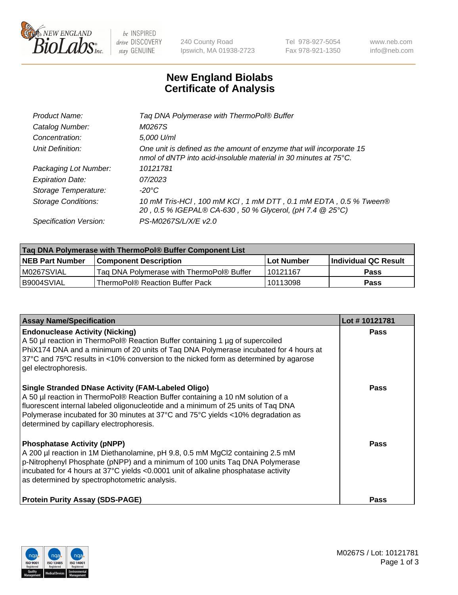

 $be$  INSPIRED drive DISCOVERY stay GENUINE

240 County Road Ipswich, MA 01938-2723 Tel 978-927-5054 Fax 978-921-1350 www.neb.com info@neb.com

## **New England Biolabs Certificate of Analysis**

| Tag DNA Polymerase with ThermoPol® Buffer                                                                                                |
|------------------------------------------------------------------------------------------------------------------------------------------|
| M0267S                                                                                                                                   |
| 5,000 U/ml                                                                                                                               |
| One unit is defined as the amount of enzyme that will incorporate 15<br>nmol of dNTP into acid-insoluble material in 30 minutes at 75°C. |
| 10121781                                                                                                                                 |
| 07/2023                                                                                                                                  |
| $-20^{\circ}$ C                                                                                                                          |
| 10 mM Tris-HCl, 100 mM KCl, 1 mM DTT, 0.1 mM EDTA, 0.5 % Tween®<br>20, 0.5 % IGEPAL® CA-630, 50 % Glycerol, (pH 7.4 @ 25°C)              |
| PS-M0267S/L/X/E v2.0                                                                                                                     |
|                                                                                                                                          |

| Taq DNA Polymerase with ThermoPol® Buffer Component List |                                           |                   |                      |  |
|----------------------------------------------------------|-------------------------------------------|-------------------|----------------------|--|
| <b>NEB Part Number</b>                                   | Component Description_                    | <b>Lot Number</b> | Individual QC Result |  |
| M0267SVIAL                                               | Tag DNA Polymerase with ThermoPol® Buffer | l 10121167        | Pass                 |  |
| B9004SVIAL                                               | ThermoPol® Reaction Buffer Pack           | 10113098          | Pass                 |  |

| <b>Assay Name/Specification</b>                                                                                                                                                                                                                                                                                                                                  | Lot #10121781 |
|------------------------------------------------------------------------------------------------------------------------------------------------------------------------------------------------------------------------------------------------------------------------------------------------------------------------------------------------------------------|---------------|
| <b>Endonuclease Activity (Nicking)</b><br>A 50 µl reaction in ThermoPol® Reaction Buffer containing 1 µg of supercoiled<br>PhiX174 DNA and a minimum of 20 units of Tag DNA Polymerase incubated for 4 hours at<br>37°C and 75°C results in <10% conversion to the nicked form as determined by agarose<br>gel electrophoresis.                                  | <b>Pass</b>   |
| <b>Single Stranded DNase Activity (FAM-Labeled Oligo)</b><br>A 50 µl reaction in ThermoPol® Reaction Buffer containing a 10 nM solution of a<br>fluorescent internal labeled oligonucleotide and a minimum of 25 units of Taq DNA<br>Polymerase incubated for 30 minutes at 37°C and 75°C yields <10% degradation as<br>determined by capillary electrophoresis. | Pass          |
| <b>Phosphatase Activity (pNPP)</b><br>A 200 µl reaction in 1M Diethanolamine, pH 9.8, 0.5 mM MgCl2 containing 2.5 mM<br>p-Nitrophenyl Phosphate (pNPP) and a minimum of 100 units Taq DNA Polymerase<br>incubated for 4 hours at 37°C yields <0.0001 unit of alkaline phosphatase activity<br>as determined by spectrophotometric analysis.                      | Pass          |
| <b>Protein Purity Assay (SDS-PAGE)</b>                                                                                                                                                                                                                                                                                                                           | Pass          |

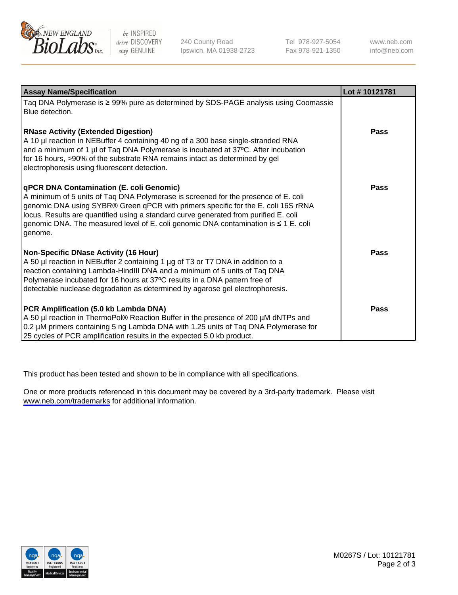

be INSPIRED drive DISCOVERY stay GENUINE

240 County Road Ipswich, MA 01938-2723 Tel 978-927-5054 Fax 978-921-1350

www.neb.com info@neb.com

| <b>Assay Name/Specification</b>                                                                                                                                                                                                                                                                                                                                                                               | Lot #10121781 |
|---------------------------------------------------------------------------------------------------------------------------------------------------------------------------------------------------------------------------------------------------------------------------------------------------------------------------------------------------------------------------------------------------------------|---------------|
| Taq DNA Polymerase is ≥ 99% pure as determined by SDS-PAGE analysis using Coomassie<br>Blue detection.                                                                                                                                                                                                                                                                                                        |               |
| <b>RNase Activity (Extended Digestion)</b><br>A 10 µl reaction in NEBuffer 4 containing 40 ng of a 300 base single-stranded RNA<br>and a minimum of 1 µl of Taq DNA Polymerase is incubated at 37°C. After incubation<br>for 16 hours, >90% of the substrate RNA remains intact as determined by gel<br>electrophoresis using fluorescent detection.                                                          | <b>Pass</b>   |
| qPCR DNA Contamination (E. coli Genomic)<br>A minimum of 5 units of Taq DNA Polymerase is screened for the presence of E. coli<br>genomic DNA using SYBR® Green qPCR with primers specific for the E. coli 16S rRNA<br>locus. Results are quantified using a standard curve generated from purified E. coli<br>genomic DNA. The measured level of E. coli genomic DNA contamination is ≤ 1 E. coli<br>genome. | <b>Pass</b>   |
| Non-Specific DNase Activity (16 Hour)<br>A 50 µl reaction in NEBuffer 2 containing 1 µg of T3 or T7 DNA in addition to a<br>reaction containing Lambda-HindIII DNA and a minimum of 5 units of Taq DNA<br>Polymerase incubated for 16 hours at 37°C results in a DNA pattern free of<br>detectable nuclease degradation as determined by agarose gel electrophoresis.                                         | <b>Pass</b>   |
| PCR Amplification (5.0 kb Lambda DNA)<br>A 50 µl reaction in ThermoPol® Reaction Buffer in the presence of 200 µM dNTPs and<br>0.2 µM primers containing 5 ng Lambda DNA with 1.25 units of Taq DNA Polymerase for<br>25 cycles of PCR amplification results in the expected 5.0 kb product.                                                                                                                  | <b>Pass</b>   |

This product has been tested and shown to be in compliance with all specifications.

One or more products referenced in this document may be covered by a 3rd-party trademark. Please visit <www.neb.com/trademarks>for additional information.